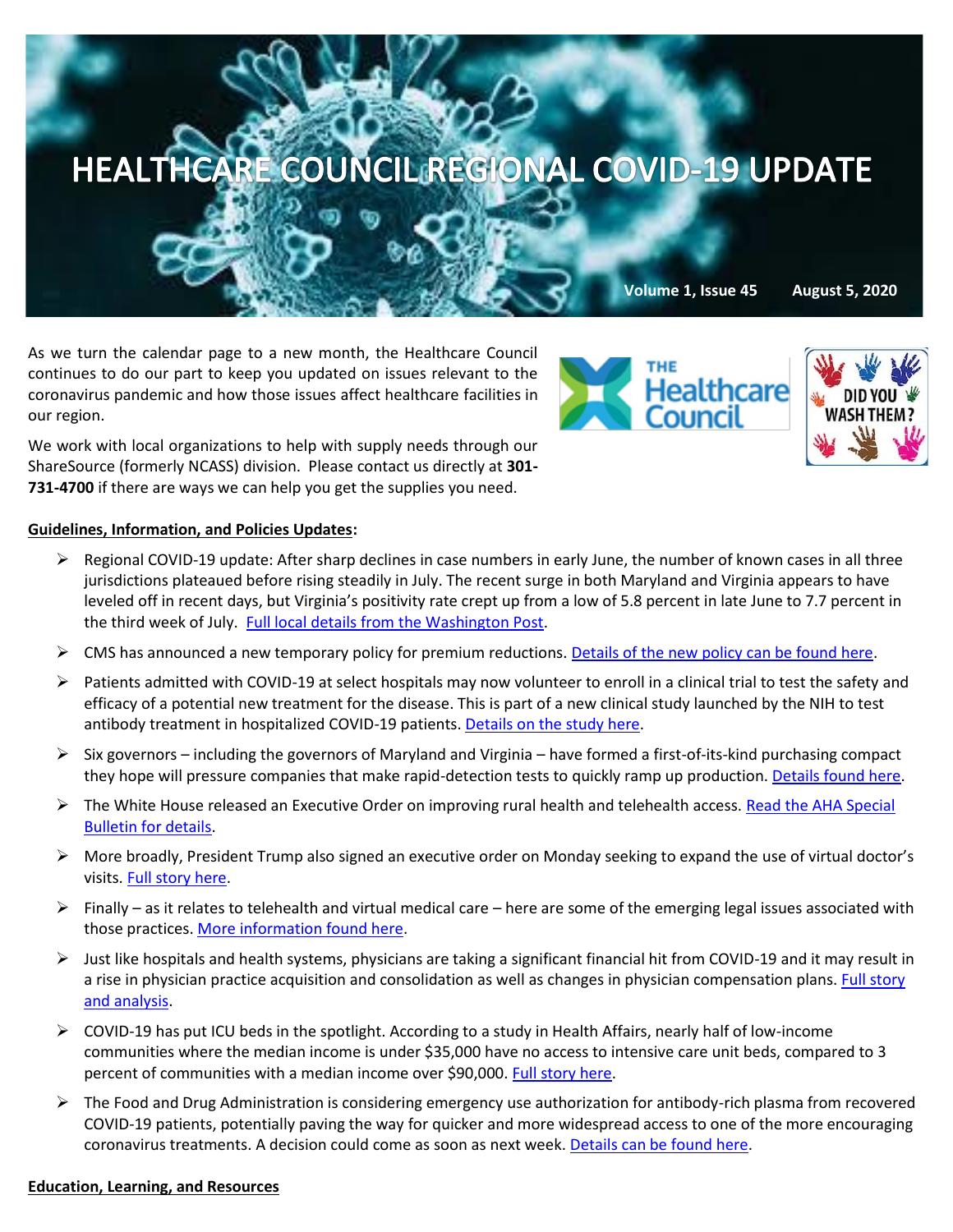

As we turn the calendar page to a new month, the Healthcare Council continues to do our part to keep you updated on issues relevant to the coronavirus pandemic and how those issues affect healthcare facilities in our region.

We work with local organizations to help with supply needs through our ShareSource (formerly NCASS) division. Please contact us directly at **301- 731-4700** if there are ways we can help you get the supplies you need.

## **Guidelines, Information, and Policies Updates:**

- $\triangleright$  Regional COVID-19 update: After sharp declines in case numbers in early June, the number of known cases in all three jurisdictions plateaued before rising steadily in July. The recent surge in both Maryland and Virginia appears to have leveled off in recent days, but Virginia's positivity rate crept up from a low of 5.8 percent in late June to 7.7 percent in the third week of July. [Full local details from the Washington Post.](https://www.washingtonpost.com/graphics/local/dc-maryland-virginia-coronavirus-cases/?itid=sf_local)
- $\triangleright$  CMS has announced a new temporary policy for premium reductions. [Details of the new policy can be found here.](https://www.cms.gov/CCIIO/Programs-and-Initiatives/Health-Insurance-Marketplaces/Downloads/Premium-Credit-Guidance.pdf)
- ➢ Patients admitted with COVID-19 at select hospitals may now volunteer to enroll in a clinical trial to test the safety and efficacy of a potential new treatment for the disease. This is part of a new clinical study launched by the NIH to test antibody treatment in hospitalized COVID-19 patients. [Details on the study here.](https://www.nih.gov/news-events/news-releases/nih-launches-clinical-trial-test-antibody-treatment-hospitalized-covid-19-patients)
- $\triangleright$  Six governors including the governors of Maryland and Virginia have formed a first-of-its-kind purchasing compact they hope will pressure companies that make rapid-detection tests to quickly ramp up production. [Details found here.](https://www.washingtonpost.com/coronavirus/coronavirus-state-testing-compact/2020/08/04/8b73bed8-d66f-11ea-9c3b-dfc394c03988_story.html?hpid=hp_hp-top-table-main_virustesting-110pm:homepage/story-ans)
- $\triangleright$  The White House released an Executive Order on improving rural health and telehealth access. Read the AHA Special [Bulletin for details.](https://contentsharing.net/actions/email_web_version.cfm?ep=Bdhtp-zVuqFkgQiV6-lxty0f-nrLBJWzuTngPvD-5dU06yACdc1M_t2CuTAaFBe6_FcKMQLF2dUQ1v9zFbX7bjGW3D6ezVoalaLad0X894kMhC2hVLW2FLsGgmZCCFIA)
- ➢ More broadly, President Trump also signed an executive order on Monday seeking to expand the use of virtual doctor's visits[. Full story here.](https://thehill.com/policy/healthcare/510354-trump-signs-order-expanding-use-of-virtual-doctors?mkt_tok=eyJpIjoiWWpZd1lURmlNemd6WldKaCIsInQiOiJLdUdWaFoxbDd2ZGNKZ1wva3JmOVpVZXRlQkFCVEkzU01OMHVmVzVhZ1A2RDBcL3lEZVdGNUtBdFJQcEZXaFdnN1B6N1FDaUdvYVlHTkFXQms2eXVyMVQyS1llZXNvUkdzMmtKckVBTTZFN1lJbmF3enVBYkE0MDJ5QktWS1VROWdkIn0=)
- $\triangleright$  Finally as it relates to telehealth and virtual medical care here are some of the emerging legal issues associated with those practices. [More information found here.](https://www.law360.com/health/articles/1297997/3-developments-as-trump-orders-lasting-telehealth-changes?nl_pk=a286494e-2d18-4627-9c2d-b4ef3cfd0b9f&utm_source=newsletter&utm_medium=email&utm_campaign=health&read_more=1&attachments=true)
- $\triangleright$  Just like hospitals and health systems, physicians are taking a significant financial hit from COVID-19 and it may result in a rise in physician practice acquisition and consolidation as well as changes in physician compensation plans. Full story [and analysis.](https://www.mckinsey.com/industries/healthcare-systems-and-services/our-insights/physician-employment-the-path-forward-in-the-covid-19-era)
- $\triangleright$  COVID-19 has put ICU beds in the spotlight. According to a study in Health Affairs, nearly half of low-income communities where the median income is under \$35,000 have no access to intensive care unit beds, compared to 3 percent of communities with a median income over \$90,000. [Full story here.](https://www.statnews.com/2020/08/03/covid19-icu-bed-disparities/?mkt_tok=eyJpIjoiWWpZd1lURmlNemd6WldKaCIsInQiOiJLdUdWaFoxbDd2ZGNKZ1wva3JmOVpVZXRlQkFCVEkzU01OMHVmVzVhZ1A2RDBcL3lEZVdGNUtBdFJQcEZXaFdnN1B6N1FDaUdvYVlHTkFXQms2eXVyMVQyS1llZXNvUkdzMmtKckVBTTZFN1lJbmF3enVBYkE0MDJ5QktWS1VROWdkIn0=)
- ➢ The Food and Drug Administration is considering emergency use authorization for antibody-rich plasma from recovered COVID-19 patients, potentially paving the way for quicker and more widespread access to one of the more encouraging coronavirus treatments. A decision could come as soon as next week. [Details can be found here.](https://www.reuters.com/article/health-coronavirus-therapy/update-1-fda-could-soon-authorize-covid-19-treatment-with-antibody-plasma-wsj-idUSL3N2F0504)

## **Education, Learning, and Resources**